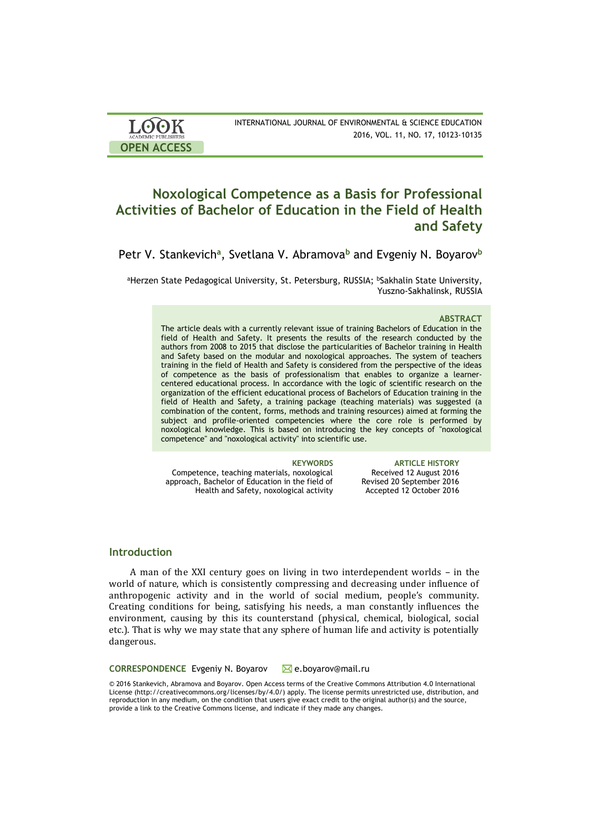| <b>LOOK</b>                | INTERNATIONAL JOURNAL OF ENVIRONMENTAL & SCIENCE EDUCATION |
|----------------------------|------------------------------------------------------------|
| <b>ACADEMIC PUBLISHERS</b> | 2016, VOL. 11, NO. 17, 10123-10135                         |
| <b>OPEN ACCESS</b>         |                                                            |

# **Noxological Competence as a Basis for Professional Activities of Bachelor of Education in the Field of Health and Safety**

Petr V. Stankevich<sup>a</sup>, Svetlana V. Abramova<sup>b</sup> and Evgeniy N. Boyarov<sup>b</sup>

aHerzen State Pedagogical University, St. Petersburg, RUSSIA; bSakhalin State University, Yuszno-Sakhalinsk, RUSSIA

### **ABSTRACT**

The article deals with a currently relevant issue of training Bachelors of Education in the field of Health and Safety. It presents the results of the research conducted by the authors from 2008 to 2015 that disclose the particularities of Bachelor training in Health and Safety based on the modular and noxological approaches. The system of teachers training in the field of Health and Safety is considered from the perspective of the ideas of competence as the basis of professionalism that enables to organize a learnercentered educational process. In accordance with the logic of scientific research on the organization of the efficient educational process of Bachelors of Education training in the field of Health and Safety, a training package (teaching materials) was suggested (a combination of the content, forms, methods and training resources) aimed at forming the subject and profile-oriented competencies where the core role is performed by noxological knowledge. This is based on introducing the key concepts of "noxological competence" and "noxological activity" into scientific use.

Competence, teaching materials, noxological approach, Bachelor of Education in the field of Health and Safety, noxological activity

**KEYWORDS ARTICLE HISTORY** Received 12 August 2016 Revised 20 September 2016 Accepted 12 October 2016

## **Introduction**

A man of the XXI century goes on living in two interdependent worlds – in the world of nature, which is consistently compressing and decreasing under influence of anthropogenic activity and in the world of social medium, people's community. Creating conditions for being, satisfying his needs, a man constantly influences the environment, causing by this its counterstand (physical, chemical, biological, social etc.). That is why we may state that any sphere of human life and activity is potentially dangerous.

**CORRESPONDENCE** Evgeniy N. Boyarov ⊠e.boyarov@mail.ru

© 2016 Stankevich, Abramova and Boyarov. Open Access terms of the Creative Commons Attribution 4.0 International License (http://creativecommons.org/licenses/by/4.0/) apply. The license permits unrestricted use, distribution, and reproduction in any medium, on the condition that users give exact credit to the original author(s) and the source, provide a link to the Creative Commons license, and indicate if they made any changes.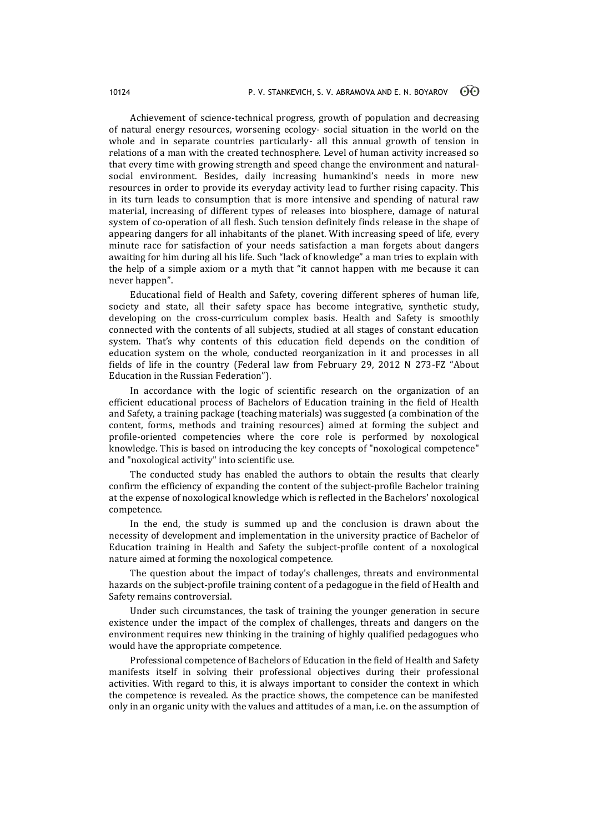Achievement of science-technical progress, growth of population and decreasing of natural energy resources, worsening ecology- social situation in the world on the whole and in separate countries particularly- all this annual growth of tension in relations of a man with the created technosphere. Level of human activity increased so that every time with growing strength and speed change the environment and naturalsocial environment. Besides, daily increasing humankind's needs in more new resources in order to provide its everyday activity lead to further rising capacity. This in its turn leads to consumption that is more intensive and spending of natural raw material, increasing of different types of releases into biosphere, damage of natural system of co-operation of all flesh. Such tension definitely finds release in the shape of appearing dangers for all inhabitants of the planet. With increasing speed of life, every minute race for satisfaction of your needs satisfaction a man forgets about dangers awaiting for him during all his life. Such "lack of knowledge" a man tries to explain with the help of a simple axiom or a myth that "it cannot happen with me because it can never happen".

Educational field of Health and Safety, covering different spheres of human life, society and state, all their safety space has become integrative, synthetic study, developing on the cross-curriculum complex basis. Health and Safety is smoothly connected with the contents of all subjects, studied at all stages of constant education system. That's why contents of this education field depends on the condition of education system on the whole, conducted reorganization in it and processes in all fields of life in the country (Federal law from February 29, 2012 N 273-FZ "About Education in the Russian Federation").

In accordance with the logic of scientific research on the organization of an efficient educational process of Bachelors of Education training in the field of Health and Safety, a training package (teaching materials) was suggested (a combination of the content, forms, methods and training resources) aimed at forming the subject and profile-oriented competencies where the core role is performed by noxological knowledge. This is based on introducing the key concepts of "noxological competence" and "noxological activity" into scientific use.

The conducted study has enabled the authors to obtain the results that clearly confirm the efficiency of expanding the content of the subject-profile Bachelor training at the expense of noxological knowledge which is reflected in the Bachelors' noxological competence.

In the end, the study is summed up and the conclusion is drawn about the necessity of development and implementation in the university practice of Bachelor of Education training in Health and Safety the subject-profile content of a noxological nature aimed at forming the noxological competence.

The question about the impact of today's challenges, threats and environmental hazards on the subject-profile training content of a pedagogue in the field of Health and Safety remains controversial.

Under such circumstances, the task of training the younger generation in secure existence under the impact of the complex of challenges, threats and dangers on the environment requires new thinking in the training of highly qualified pedagogues who would have the appropriate competence.

Professional competence of Bachelors of Education in the field of Health and Safety manifests itself in solving their professional objectives during their professional activities. With regard to this, it is always important to consider the context in which the competence is revealed. As the practice shows, the competence can be manifested only in an organic unity with the values and attitudes of a man, i.e. on the assumption of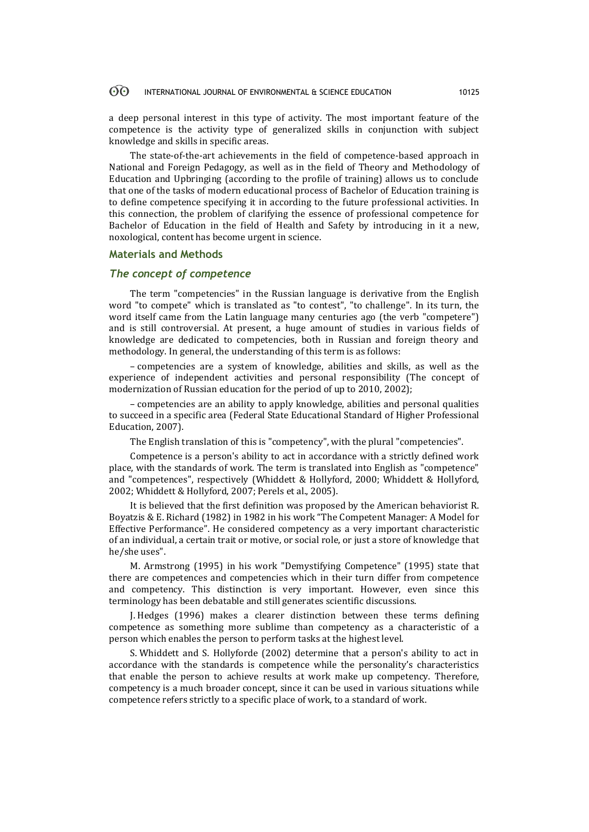#### 60 INTERNATIONAL JOURNAL OF ENVIRONMENTAL & SCIENCE EDUCATION 10125

a deep personal interest in this type of activity. The most important feature of the competence is the activity type of generalized skills in conjunction with subject knowledge and skills in specific areas.

The state-of-the-art achievements in the field of competence-based approach in National and Foreign Pedagogy, as well as in the field of Theory and Methodology of Education and Upbringing (according to the profile of training) allows us to conclude that one of the tasks of modern educational process of Bachelor of Education training is to define competence specifying it in according to the future professional activities. In this connection, the problem of clarifying the essence of professional competence for Bachelor of Education in the field of Health and Safety by introducing in it a new, noxological, content has become urgent in science.

### **Materials and Methods**

# *The concept of competence*

The term "competencies" in the Russian language is derivative from the English word "to compete" which is translated as "to contest", "to challenge". In its turn, the word itself came from the Latin language many centuries ago (the verb "competere") and is still controversial. At present, a huge amount of studies in various fields of knowledge are dedicated to competencies, both in Russian and foreign theory and methodology. In general, the understanding of this term is as follows:

– competencies are a system of knowledge, abilities and skills, as well as the experience of independent activities and personal responsibility (The concept of modernization of Russian education for the period of up to 2010, 2002);

– competencies are an ability to apply knowledge, abilities and personal qualities to succeed in a specific area (Federal State Educational Standard of Higher Professional Education, 2007).

The English translation of this is "competency", with the plural "competencies".

Competence is a person's ability to act in accordance with a strictly defined work place, with the standards of work. The term is translated into English as "competence" and "competences", respectively (Whiddett & Hollyford, 2000; Whiddett & Hollyford, 2002; Whiddett & Hollyford, 2007; Perels et al., 2005).

It is believed that the first definition was proposed by the American behaviorist R. Boyatzis & E. Richard (1982) in 1982 in his work "[The Competent Manager: A Model for](http://weatherhead.case.edu/research/library/detail?id=9894371329)  [Effective Performance](http://weatherhead.case.edu/research/library/detail?id=9894371329)". He considered competency as a very important characteristic of an individual, a certain trait or motive, or social role, or just a store of knowledge that he/she uses".

M. Armstrong (1995) in his work "Demystifying Competence" (1995) state that there are competences and competencies which in their turn differ from competence and competency. This distinction is very important. However, even since this terminology has been debatable and still generates scientific discussions.

J. Hedges (1996) makes a clearer distinction between these terms defining competence as something more sublime than competency as a characteristic of a person which enables the person to perform tasks at the highest level.

S. Whiddett and S. Hollyforde (2002) determine that a person's ability to act in accordance with the standards is competence while the personality's characteristics that enable the person to achieve results at work make up competency. Therefore, competency is a much broader concept, since it can be used in various situations while competence refers strictly to a specific place of work, to a standard of work.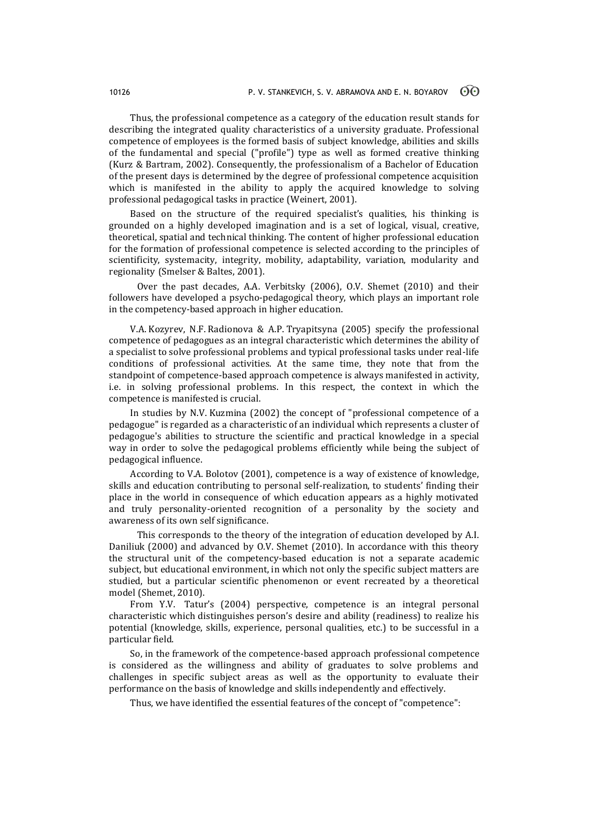Thus, the professional competence as a category of the education result stands for describing the integrated quality characteristics of a university graduate. Professional competence of employees is the formed basis of subject knowledge, abilities and skills of the fundamental and special ("profile") type as well as formed creative thinking (Kurz & Bartram, 2002). Consequently, the professionalism of a Bachelor of Education of the present days is determined by the degree of professional competence acquisition which is manifested in the ability to apply the acquired knowledge to solving professional pedagogical tasks in practice (Weinert, 2001).

Based on the structure of the required specialist's qualities, his thinking is grounded on a highly developed imagination and is a set of logical, visual, creative, theoretical, spatial and technical thinking. The content of higher professional education for the formation of professional competence is selected according to the principles of scientificity, systemacity, integrity, mobility, adaptability, variation, modularity and regionality (Smelser & Baltes, 2001).

Over the past decades, A.A. Verbitsky (2006), O.V. Shemet (2010) and their followers have developed a psycho-pedagogical theory, which plays an important role in the competency-based approach in higher education.

V.A. Kozyrev, N.F. Radionova & A.P. Tryapitsyna (2005) specify the professional competence of pedagogues as an integral characteristic which determines the ability of a specialist to solve professional problems and typical professional tasks under real-life conditions of professional activities. At the same time, they note that from the standpoint of competence-based approach competence is always manifested in activity, i.e. in solving professional problems. In this respect, the context in which the competence is manifested is crucial.

In studies by N.V. Kuzmina (2002) the concept of "professional competence of a pedagogue" is regarded as a characteristic of an individual which represents a cluster of pedagogue's abilities to structure the scientific and practical knowledge in a special way in order to solve the pedagogical problems efficiently while being the subject of pedagogical influence.

According to V.A. Bolotov (2001), competence is a way of existence of knowledge, skills and education contributing to personal self-realization, to students' finding their place in the world in consequence of which education appears as a highly motivated and truly personality-oriented recognition of a personality by the society and awareness of its own self significance.

This corresponds to the theory of the integration of education developed by A.I. Daniliuk (2000) and advanced by O.V. Shemet (2010). In accordance with this theory the structural unit of the competency-based education is not a separate academic subject, but educational environment, in which not only the specific subject matters are studied, but a particular scientific phenomenon or event recreated by a theoretical model (Shemet, 2010).

From Y.V. Tatur's (2004) perspective, competence is an integral personal characteristic which distinguishes person's desire and ability (readiness) to realize his potential (knowledge, skills, experience, personal qualities, etc.) to be successful in a particular field.

So, in the framework of the competence-based approach professional competence is considered as the willingness and ability of graduates to solve problems and challenges in specific subject areas as well as the opportunity to evaluate their performance on the basis of knowledge and skills independently and effectively.

Thus, we have identified the essential features of the concept of "competence":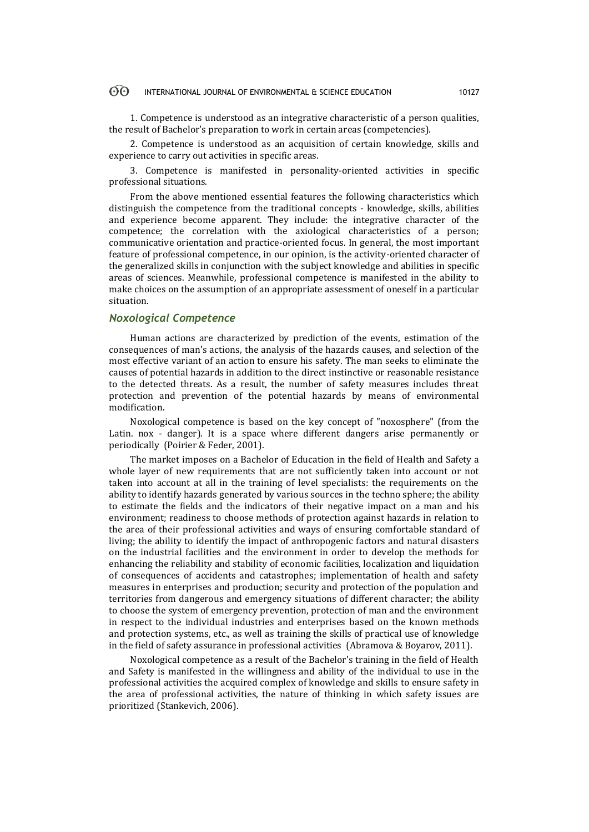#### $\odot$ INTERNATIONAL JOURNAL OF ENVIRONMENTAL & SCIENCE EDUCATION 10127

1. Competence is understood as an integrative characteristic of a person qualities, the result of Bachelor's preparation to work in certain areas (competencies).

2. Competence is understood as an acquisition of certain knowledge, skills and experience to carry out activities in specific areas.

3. Competence is manifested in personality-oriented activities in specific professional situations.

From the above mentioned essential features the following characteristics which distinguish the competence from the traditional concepts - knowledge, skills, abilities and experience become apparent. They include: the integrative character of the competence; the correlation with the axiological characteristics of a person; communicative orientation and practice-oriented focus. In general, the most important feature of professional competence, in our opinion, is the activity-oriented character of the generalized skills in conjunction with the subject knowledge and abilities in specific areas of sciences. Meanwhile, professional competence is manifested in the ability to make choices on the assumption of an appropriate assessment of oneself in a particular situation.

# *Noxological Competence*

Human actions are characterized by prediction of the events, estimation of the consequences of man's actions, the analysis of the hazards causes, and selection of the most effective variant of an action to ensure his safety. The man seeks to eliminate the causes of potential hazards in addition to the direct instinctive or reasonable resistance to the detected threats. As a result, the number of safety measures includes threat protection and prevention of the potential hazards by means of environmental modification.

Noxological competence is based on the key concept of "noxosphere" (from the Latin. nox - danger). It is a space where different dangers arise permanently or periodically (Poirier & Feder, 2001).

The market imposes on a Bachelor of Education in the field of Health and Safety a whole layer of new requirements that are not sufficiently taken into account or not taken into account at all in the training of level specialists: the requirements on the ability to identify hazards generated by various sources in the techno sphere; the ability to estimate the fields and the indicators of their negative impact on a man and his environment; readiness to choose methods of protection against hazards in relation to the area of their professional activities and ways of ensuring comfortable standard of living; the ability to identify the impact of anthropogenic factors and natural disasters on the industrial facilities and the environment in order to develop the methods for enhancing the reliability and stability of economic facilities, localization and liquidation of consequences of accidents and catastrophes; implementation of health and safety measures in enterprises and production; security and protection of the population and territories from dangerous and emergency situations of different character; the ability to choose the system of emergency prevention, protection of man and the environment in respect to the individual industries and enterprises based on the known methods and protection systems, etc., as well as training the skills of practical use of knowledge in the field of safety assurance in professional activities (Abramovа & Boyarov, 2011).

Noxological competence as a result of the Bachelor's training in the field of Health and Safety is manifested in the willingness and ability of the individual to use in the professional activities the acquired complex of knowledge and skills to ensure safety in the area of professional activities, the nature of thinking in which safety issues are prioritized (Stankevich, 2006).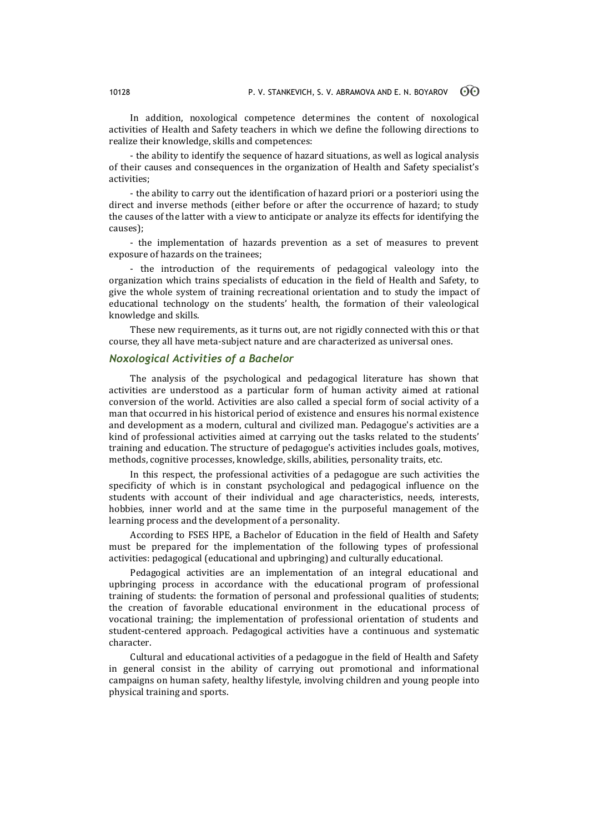In addition, noxological competence determines the content of noxological activities of Health and Safety teachers in which we define the following directions to realize their knowledge, skills and competences:

- the ability to identify the sequence of hazard situations, as well as logical analysis of their causes and consequences in the organization of Health and Safety specialist's activities;

- the ability to carry out the identification of hazard priori or a posteriori using the direct and inverse methods (either before or after the occurrence of hazard; to study the causes of the latter with a view to anticipate or analyze its effects for identifying the causes);

- the implementation of hazards prevention as a set of measures to prevent exposure of hazards on the trainees;

- the introduction of the requirements of pedagogical valeology into the organization which trains specialists of education in the field of Health and Safety, to give the whole system of training recreational orientation and to study the impact of educational technology on the students' health, the formation of their valeological knowledge and skills.

These new requirements, as it turns out, are not rigidly connected with this or that course, they all have meta-subject nature and are characterized as universal ones.

# *Noxological Activities of a Bachelor*

The analysis of the psychological and pedagogical literature has shown that activities are understood as a particular form of human activity aimed at rational conversion of the world. Activities are also called a special form of social activity of a man that occurred in his historical period of existence and ensures his normal existence and development as a modern, cultural and civilized man. Pedagogue's activities are a kind of professional activities aimed at carrying out the tasks related to the students' training and education. The structure of pedagogue's activities includes goals, motives, methods, cognitive processes, knowledge, skills, abilities, personality traits, etc.

In this respect, the professional activities of a pedagogue are such activities the specificity of which is in constant psychological and pedagogical influence on the students with account of their individual and age characteristics, needs, interests, hobbies, inner world and at the same time in the purposeful management of the learning process and the development of a personality.

According to FSES HPE, a Bachelor of Education in the field of Health and Safety must be prepared for the implementation of the following types of professional activities: pedagogical (educational and upbringing) and culturally educational.

Pedagogical activities are an implementation of an integral educational and upbringing process in accordance with the educational program of professional training of students: the formation of personal and professional qualities of students; the creation of favorable educational environment in the educational process of vocational training; the implementation of professional orientation of students and student-centered approach. Pedagogical activities have a continuous and systematic character.

Cultural and educational activities of a pedagogue in the field of Health and Safety in general consist in the ability of carrying out promotional and informational campaigns on human safety, healthy lifestyle, involving children and young people into physical training and sports.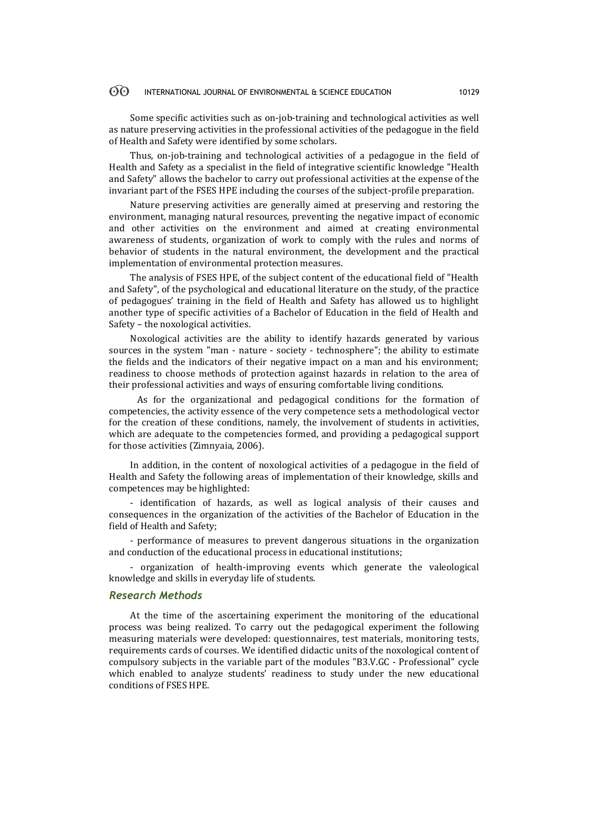#### $\odot$ INTERNATIONAL JOURNAL OF ENVIRONMENTAL & SCIENCE EDUCATION 10129

Some specific activities such as on-job-training and technological activities as well as nature preserving activities in the professional activities of the pedagogue in the field of Health and Safety were identified by some scholars.

Thus, on-job-training and technological activities of a pedagogue in the field of Health and Safety as a specialist in the field of integrative scientific knowledge "Health and Safety" allows the bachelor to carry out professional activities at the expense of the invariant part of the FSES HPE including the courses of the subject-profile preparation.

Nature preserving activities are generally aimed at preserving and restoring the environment, managing natural resources, preventing the negative impact of economic and other activities on the environment and aimed at creating environmental awareness of students, organization of work to comply with the rules and norms of behavior of students in the natural environment, the development and the practical implementation of environmental protection measures.

The analysis of FSES HPE, of the subject content of the educational field of "Health and Safety", of the psychological and educational literature on the study, of the practice of pedagogues' training in the field of Health and Safety has allowed us to highlight another type of specific activities of a Bachelor of Education in the field of Health and Safety – the noxological activities.

Noxological activities are the ability to identify hazards generated by various sources in the system "man - nature - society - technosphere"; the ability to estimate the fields and the indicators of their negative impact on a man and his environment; readiness to choose methods of protection against hazards in relation to the area of their professional activities and ways of ensuring comfortable living conditions.

As for the organizational and pedagogical conditions for the formation of competencies, the activity essence of the very competence sets a methodological vector for the creation of these conditions, namely, the involvement of students in activities, which are adequate to the competencies formed, and providing a pedagogical support for those activities (Zimnyaia, 2006).

In addition, in the content of noxological activities of a pedagogue in the field of Health and Safety the following areas of implementation of their knowledge, skills and competences may be highlighted:

- identification of hazards, as well as logical analysis of their causes and consequences in the organization of the activities of the Bachelor of Education in the field of Health and Safety;

- performance of measures to prevent dangerous situations in the organization and conduction of the educational process in educational institutions;

- organization of health-improving events which generate the valeological knowledge and skills in everyday life of students.

### *Research Methods*

At the time of the ascertaining experiment the monitoring of the educational process was being realized. To carry out the pedagogical experiment the following measuring materials were developed: questionnaires, test materials, monitoring tests, requirements cards of courses. We identified didactic units of the noxological content of compulsory subjects in the variable part of the modules "B3.V.GC - Professional" cycle which enabled to analyze students' readiness to study under the new educational conditions of FSES HPE.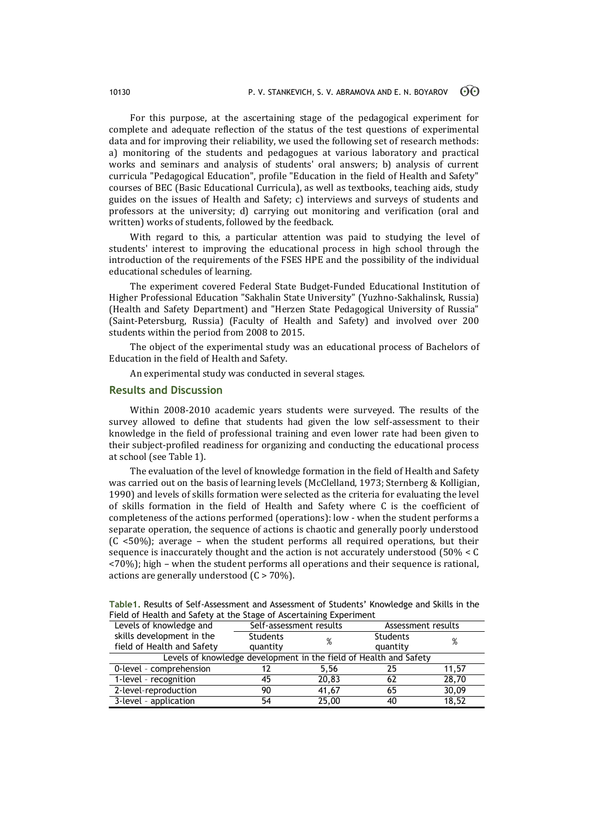For this purpose, at the ascertaining stage of the pedagogical experiment for complete and adequate reflection of the status of the test questions of experimental data and for improving their reliability, we used the following set of research methods: a) monitoring of the students and pedagogues at various laboratory and practical works and seminars and analysis of students' oral answers; b) analysis of current curricula "Pedagogical Education", profile "Education in the field of Health and Safety" courses of BEC (Basic Educational Curricula), as well as textbooks, teaching aids, study guides on the issues of Health and Safety; c) interviews and surveys of students and professors at the university; d) carrying out monitoring and verification (oral and written) works of students, followed by the feedback.

With regard to this, a particular attention was paid to studying the level of students' interest to improving the educational process in high school through the introduction of the requirements of the FSES HPE and the possibility of the individual educational schedules of learning.

The experiment covered Federal State Budget-Funded Educational Institution of Higher Professional Education "Sakhalin State University" (Yuzhno-Sakhalinsk, Russia) (Health and Safety Department) and "Herzen State Pedagogical University of Russia" (Saint-Petersburg, Russia) (Faculty of Health and Safety) and involved over 200 students within the period from 2008 to 2015.

The object of the experimental study was an educational process of Bachelors of Education in the field of Health and Safety.

An experimental study was conducted in several stages.

### **Results and Discussion**

Within 2008-2010 academic years students were surveyed. The results of the survey allowed to define that students had given the low self-assessment to their knowledge in the field of professional training and even lower rate had been given to their subject-profiled readiness for organizing and conducting the educational process at school (see Table 1).

The evaluation of the level of knowledge formation in the field of Health and Safety was carried out on the basis of learning levels (McClelland, 1973; Sternberg & Kolligian, 1990) and levels of skills formation were selected as the criteria for evaluating the level of skills formation in the field of Health and Safety where C is the coefficient of completeness of the actions performed (operations): low - when the student performs a separate operation, the sequence of actions is chaotic and generally poorly understood (C <50%); average – when the student performs all required operations, but their sequence is inaccurately thought and the action is not accurately understood (50% < C <70%); high – when the student performs all operations and their sequence is rational, actions are generally understood (C > 70%).

| Field of Health and Safety at the Stage of Ascertaining Experiment |                         |       |                    |       |  |  |
|--------------------------------------------------------------------|-------------------------|-------|--------------------|-------|--|--|
| Levels of knowledge and                                            | Self-assessment results |       | Assessment results |       |  |  |
| skills development in the                                          | <b>Students</b>         | %     | <b>Students</b>    | %     |  |  |
| field of Health and Safety                                         | quantity                |       | quantity           |       |  |  |
| Levels of knowledge development in the field of Health and Safety  |                         |       |                    |       |  |  |
| 0-level - comprehension                                            |                         | 5.56  | 25                 | 11.57 |  |  |
| 1-level - recognition                                              | 45                      | 20.83 | 62                 | 28,70 |  |  |
| 2-level-reproduction                                               | 90                      | 41,67 | 65                 | 30,09 |  |  |
| 3-level - application                                              | 54                      | 25,00 | 40                 | 18,52 |  |  |

**Table1.** Results of Self-Assessment and Assessment of Students' Knowledge and Skills in the Field of Health and Safety at the Stage of Ascertaining Experiment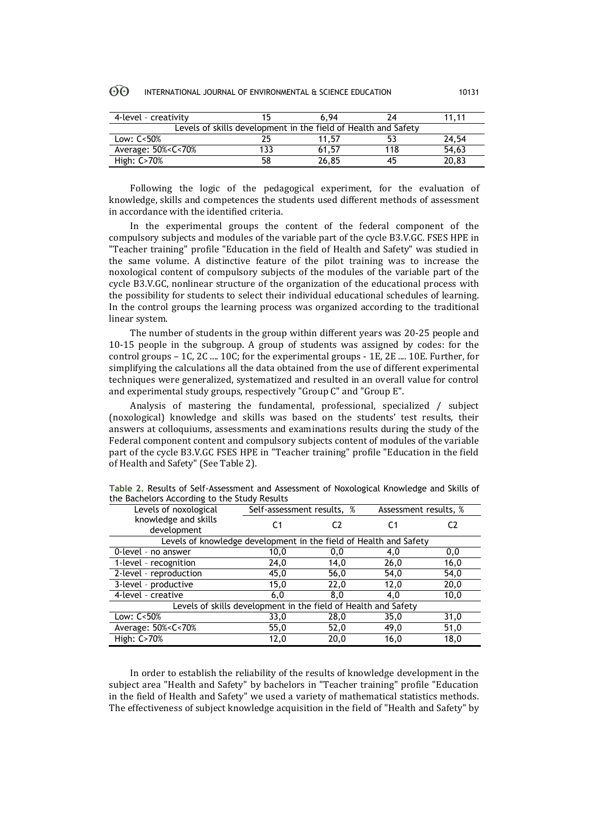| 4-level - creativity                                                                  |    | 6.94  |     | 11.11 |  |
|---------------------------------------------------------------------------------------|----|-------|-----|-------|--|
| Levels of skills development in the field of Health and Safety                        |    |       |     |       |  |
| Low: $C < 50\%$                                                                       |    | 11.57 |     | 24.54 |  |
| Average: 50% <c<70%< td=""><td></td><td>61,57</td><td>118</td><td>54,63</td></c<70%<> |    | 61,57 | 118 | 54,63 |  |
| High: C>70%                                                                           | 58 | 26.85 | 45  | 20.83 |  |

Following the logic of the pedagogical experiment, for the evaluation of knowledge, skills and competences the students used different methods of assessment in accordance with the identified criteria.

In the experimental groups the content of the federal component of the compulsory subjects and modules of the variable part of the cycle B3.V.GC. FSES HPE in "Teacher training" profile "Education in the field of Health and Safety" was studied in the same volume. A distinctive feature of the pilot training was to increase the noxological content of compulsory subjects of the modules of the variable part of the cycle B3.V.GC, nonlinear structure of the organization of the educational process with the possibility for students to select their individual educational schedules of learning. In the control groups the learning process was organized according to the traditional linear system.

The number of students in the group within different years was 20-25 people and 10-15 people in the subgroup. A group of students was assigned by codes: for the control groups – 1C, 2C .... 10C; for the experimental groups - 1E, 2E .... 10E. Further, for simplifying the calculations all the data obtained from the use of different experimental techniques were generalized, systematized and resulted in an overall value for control and experimental study groups, respectively "Group C" and "Group E".

Analysis of mastering the fundamental, professional, specialized / subject (noxological) knowledge and skills was based on the students' test results, their answers at colloquiums, assessments and examinations results during the study of the Federal component content and compulsory subjects content of modules of the variable part of the cycle B3.V.GC FSES HPE in "Teacher training" profile "Education in the field of Health and Safety" (See Table 2).

| Levels of noxological                                                                    | Self-assessment results, % |      | Assessment results, % |      |  |  |
|------------------------------------------------------------------------------------------|----------------------------|------|-----------------------|------|--|--|
| knowledge and skills<br>development                                                      | C1                         | C2   | C1                    | C2   |  |  |
| Levels of knowledge development in the field of Health and Safety                        |                            |      |                       |      |  |  |
| 0-level - no answer                                                                      | 10,0                       | 0,0  | 4,0                   | 0,0  |  |  |
| 1-level - recognition                                                                    | 24,0                       | 14,0 | 26,0                  | 16,0 |  |  |
| 2-level - reproduction                                                                   | 45,0                       | 56,0 | 54,0                  | 54,0 |  |  |
| 3-level - productive                                                                     | 15,0                       | 22,0 | 12,0                  | 20,0 |  |  |
| 4-level - creative                                                                       | 6,0                        | 8,0  | 4,0                   | 10,0 |  |  |
| Levels of skills development in the field of Health and Safety                           |                            |      |                       |      |  |  |
| Low: C<50%                                                                               | 33,0                       | 28,0 | 35,0                  | 31,0 |  |  |
| Average: 50% <c<70%< td=""><td>55,0</td><td>52,0</td><td>49,0</td><td>51,0</td></c<70%<> | 55,0                       | 52,0 | 49,0                  | 51,0 |  |  |
| High: C>70%                                                                              | 12,0                       | 20,0 | 16,0                  | 18,0 |  |  |

**Table 2.** Results of Self-Assessment and Assessment of Noxological Knowledge and Skills of the Bachelors According to the Study Results

In order to establish the reliability of the results of knowledge development in the subject area "Health and Safety" by bachelors in "Teacher training" profile "Education in the field of Health and Safety" we used a variety of mathematical statistics methods. The effectiveness of subject knowledge acquisition in the field of "Health and Safety" by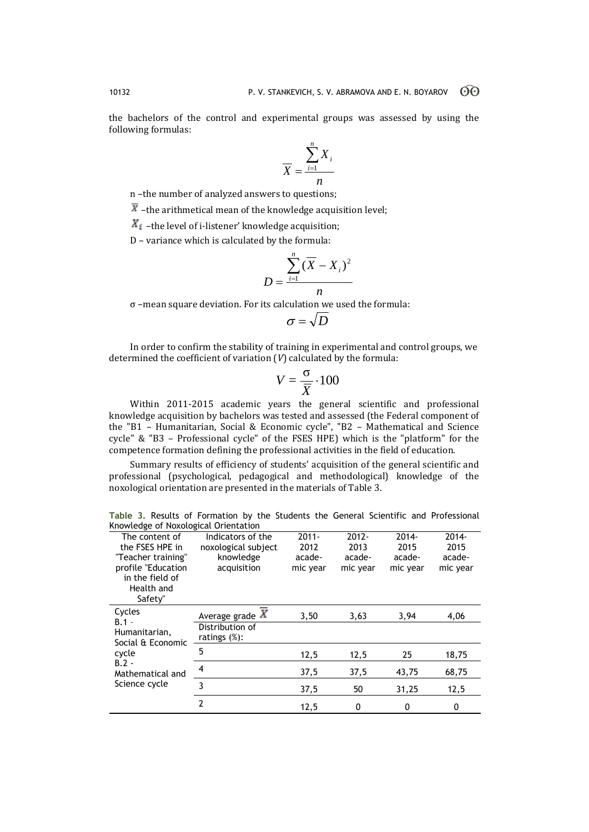the bachelors of the control and experimental groups was assessed by using the following formulas:

$$
\overline{X} = \frac{\sum_{i=1}^{n} X_i}{n}
$$

n –the number of analyzed answers to questions;

 $\overline{X}$  –the arithmetical mean of the knowledge acquisition level;

 $X_i$  –the level of i-listener' knowledge acquisition;

D – variance which is calculated by the formula:

$$
D = \frac{\sum_{i=1}^{n} (\overline{X} - X_i)^2}{n}
$$

σ –mean square deviation. For its calculation we used the formula:

$$
\sigma = \sqrt{D}
$$

In order to confirm the stability of training in experimental and control groups, we determined the coefficient of variation (*V*) calculated by the formula:

$$
V = \frac{\sigma}{\overline{X}} \cdot 100
$$

Within 2011-2015 academic years the general scientific and professional knowledge acquisition by bachelors was tested and assessed (the Federal component of the "B1 – Humanitarian, Social & Economic cycle", "B2 – Mathematical and Science cycle" & "B3 – Professional cycle" of the FSES HPE) which is the "platform" for the competence formation defining the professional activities in the field of education.

Summary results of efficiency of students' acquisition of the general scientific and professional (psychological, pedagogical and methodological) knowledge of the noxological orientation are presented in the materials of Table 3.

**Table 3.** Results of Formation by the Students the General Scientific and Professional Knowledge of Noxological Orientation

| $2012 -$<br>$2014 -$<br>2014-<br>Indicators of the<br>$2011 -$<br>The content of<br>the FSES HPE in<br>2015<br>2015<br>2012<br>2013<br>noxological subject<br>knowledge<br>"Teacher training"<br>acade-<br>acade-<br>acade-<br>acade-<br>profile "Education<br>acquisition<br>mic year<br>mic year<br>mic year<br>mic year<br>in the field of<br>Health and<br>Safety"<br>Cycles<br>Average grade $\overline{X}$<br>3,50<br>3,94<br>3,63<br>4,06<br>$B.1 -$<br>Distribution of<br>Humanitarian,<br>ratings $(\%)$ :<br>Social & Economic<br>5<br>cycle<br>25<br>18,75<br>12,5<br>12,5<br>$B.2 -$<br>4<br>37,5<br>37,5<br>68,75<br>43,75<br>Mathematical and<br>Science cycle<br>3<br>37,5<br>12,5<br>50<br>31,25<br>$\overline{2}$ |  |      |   |   |   |
|------------------------------------------------------------------------------------------------------------------------------------------------------------------------------------------------------------------------------------------------------------------------------------------------------------------------------------------------------------------------------------------------------------------------------------------------------------------------------------------------------------------------------------------------------------------------------------------------------------------------------------------------------------------------------------------------------------------------------------|--|------|---|---|---|
|                                                                                                                                                                                                                                                                                                                                                                                                                                                                                                                                                                                                                                                                                                                                    |  |      |   |   |   |
|                                                                                                                                                                                                                                                                                                                                                                                                                                                                                                                                                                                                                                                                                                                                    |  |      |   |   |   |
|                                                                                                                                                                                                                                                                                                                                                                                                                                                                                                                                                                                                                                                                                                                                    |  |      |   |   |   |
|                                                                                                                                                                                                                                                                                                                                                                                                                                                                                                                                                                                                                                                                                                                                    |  |      |   |   |   |
|                                                                                                                                                                                                                                                                                                                                                                                                                                                                                                                                                                                                                                                                                                                                    |  |      |   |   |   |
|                                                                                                                                                                                                                                                                                                                                                                                                                                                                                                                                                                                                                                                                                                                                    |  |      |   |   |   |
|                                                                                                                                                                                                                                                                                                                                                                                                                                                                                                                                                                                                                                                                                                                                    |  |      |   |   |   |
|                                                                                                                                                                                                                                                                                                                                                                                                                                                                                                                                                                                                                                                                                                                                    |  |      |   |   |   |
|                                                                                                                                                                                                                                                                                                                                                                                                                                                                                                                                                                                                                                                                                                                                    |  |      |   |   |   |
|                                                                                                                                                                                                                                                                                                                                                                                                                                                                                                                                                                                                                                                                                                                                    |  |      |   |   |   |
|                                                                                                                                                                                                                                                                                                                                                                                                                                                                                                                                                                                                                                                                                                                                    |  |      |   |   |   |
|                                                                                                                                                                                                                                                                                                                                                                                                                                                                                                                                                                                                                                                                                                                                    |  |      |   |   |   |
|                                                                                                                                                                                                                                                                                                                                                                                                                                                                                                                                                                                                                                                                                                                                    |  |      |   |   |   |
|                                                                                                                                                                                                                                                                                                                                                                                                                                                                                                                                                                                                                                                                                                                                    |  |      |   |   |   |
|                                                                                                                                                                                                                                                                                                                                                                                                                                                                                                                                                                                                                                                                                                                                    |  |      |   |   |   |
|                                                                                                                                                                                                                                                                                                                                                                                                                                                                                                                                                                                                                                                                                                                                    |  |      |   |   |   |
|                                                                                                                                                                                                                                                                                                                                                                                                                                                                                                                                                                                                                                                                                                                                    |  | 12,5 | 0 | 0 | 0 |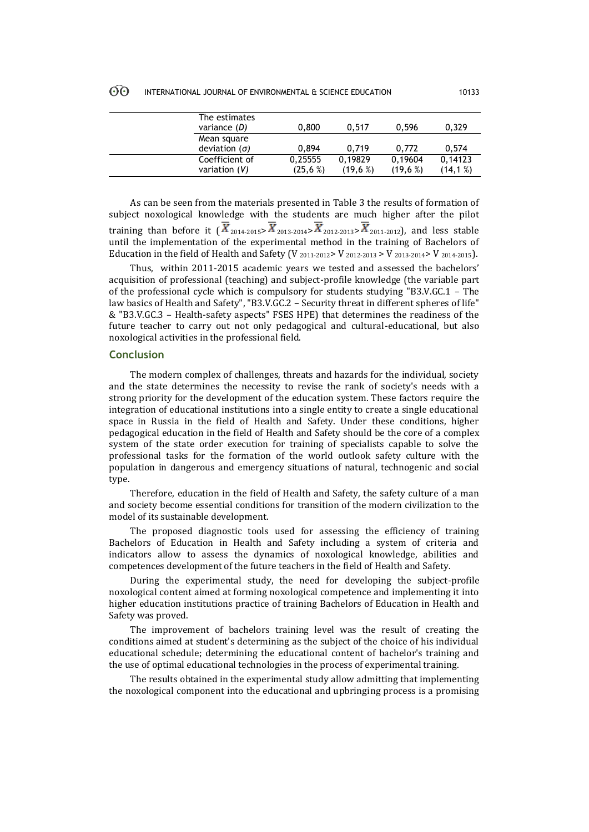#### **ගි** INTERNATIONAL JOURNAL OF ENVIRONMENTAL & SCIENCE EDUCATION 10133

| The estimates<br>variance (D)       | 0,800                   | 0.517             | 0.596              | 0,329               |
|-------------------------------------|-------------------------|-------------------|--------------------|---------------------|
| Mean square<br>deviation $(\sigma)$ | 0.894                   | 0.719             | 0.772              | 0.574               |
| Coefficient of<br>variation $(V)$   | 0,25555<br>$(25, 6 \%)$ | 0.19829<br>(19,6% | 0,19604<br>(19,6%) | 0,14123<br>(14, 1%) |

As can be seen from the materials presented in Table 3 the results of formation of subject noxological knowledge with the students are much higher after the pilot training than before it  $(\overline{X}_{2014-2015} \times \overline{X}_{2013-2014} \times \overline{X}_{2012-2013} \times \overline{X}_{2011-2012})$ , and less stable until the implementation of the experimental method in the training of Bachelors of Education in the field of Health and Safety (V  $_{2011-2012}$  > V  $_{2012-2013}$  > V  $_{2013-2014}$  > V  $_{2014-2015}$ ).

Thus, within 2011-2015 academic years we tested and assessed the bachelors' acquisition of professional (teaching) and subject-profile knowledge (the variable part of the professional cycle which is compulsory for students studying "B3.V.GC.1 – The law basics of Health and Safety", "B3.V.GC.2 – Security threat in different spheres of life" & "B3.V.GC.3 – Health-safety aspects" FSES HPE) that determines the readiness of the future teacher to carry out not only pedagogical and cultural-educational, but also noxological activities in the professional field.

# **Conclusion**

The modern complex of challenges, threats and hazards for the individual, society and the state determines the necessity to revise the rank of society's needs with a strong priority for the development of the education system. These factors require the integration of educational institutions into a single entity to create a single educational space in Russia in the field of Health and Safety. Under these conditions, higher pedagogical education in the field of Health and Safety should be the core of a complex system of the state order execution for training of specialists capable to solve the professional tasks for the formation of the world outlook safety culture with the population in dangerous and emergency situations of natural, technogenic and social type.

Therefore, education in the field of Health and Safety, the safety culture of a man and society become essential conditions for transition of the modern civilization to the model of its sustainable development.

The proposed diagnostic tools used for assessing the efficiency of training Bachelors of Education in Health and Safety including a system of criteria and indicators allow to assess the dynamics of noxological knowledge, abilities and competences development of the future teachers in the field of Health and Safety.

During the experimental study, the need for developing the subject-profile noxological content aimed at forming noxological competence and implementing it into higher education institutions practice of training Bachelors of Education in Health and Safety was proved.

The improvement of bachelors training level was the result of creating the conditions aimed at student's determining as the subject of the choice of his individual educational schedule; determining the educational content of bachelor's training and the use of optimal educational technologies in the process of experimental training.

The results obtained in the experimental study allow admitting that implementing the noxological component into the educational and upbringing process is a promising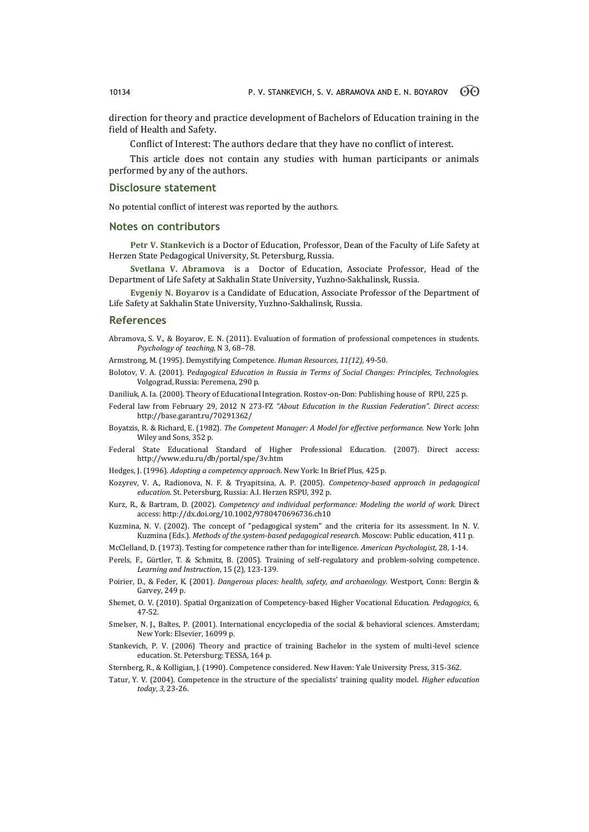direction for theory and practice development of Bachelors of Education training in the field of Health and Safety.

Conflict of Interest: The authors declare that they have no conflict of interest.

This article does not contain any studies with human participants or animals performed by any of the authors.

# **Disclosure statement**

No potential conflict of interest was reported by the authors.

### **Notes on contributors**

**Petr V. Stankevich** is a Doctor of Education, Professor, Dean of the Faculty of Life Safety at Herzen State Pedagogical University, St. Petersburg, Russia.

**Svetlana V. Abramova** is a Doctor of Education, Associate Professor, Head of the Department of Life Safety at Sakhalin State University, Yuzhno-Sakhalinsk, Russia.

**Evgeniy N. Boyarov** is a Candidate of Education, Associate Professor of the Department of Life Safety at Sakhalin State University, Yuzhno-Sakhalinsk, Russia.

### **References**

Abramovа, S. V., & Boyarov, E. N. (2011). Evaluation of formation of professional competences in students. *Psychology of teaching*, N 3, 68–78.

Armstrong, M. (1995). Demystifying Competence. *Human Resources, 11(12),* 49-50.

Bolotov, V. A. (2001). P*edagogical Education in Russia in Terms of Social Changes: Principles, Technologies.* Volgograd, Russia: Peremena, 290 p.

Daniliuk, A. Ia. (2000). Theory of Educational Integration. Rostov-on-Don: Publishing house of RPU, 225 p.

- Federal law from February 29, 2012 N 273-FZ *"About Education in the Russian Federation". Direct access:* http://base.garant.ru/70291362/
- Boyatzis, R. & Richard, E. (1982). *The Competent Manager: A Model for effective performance.* New York: John Wiley and Sons, 352 p.
- Federal State Educational Standard of Higher Professional Education. (2007). Direct access: http://www.edu.ru/db/portal/spe/3v.htm
- Hedges, J. (1996). *Adopting a competency approach.* New York: In Brief Plus, 425 p.
- Kozyrev, V. A., Radionova, N. F. & Tryapitsina, A. P. (2005). *Competency-based approach in pedagogical education*. St. Petersburg, Russia: A.I. Herzen RSPU, 392 p.
- Kurz, R., & Bartram, D. (2002). *Competency and individual performance: Modeling the world of work.* Direct access: http://dx.doi.org/10.1002/9780470696736.ch10
- Kuzmina, N. V. (2002). The concept of "pedagogical system" and the criteria for its assessment. In N. V. Kuzmina (Eds.). *Methods of the system-based pedagogical research.* Moscow: Public education, 411 p.
- McClelland, D. (1973). Testing for competence rather than for intelligence. *American Psychologist,* 28, 1-14.
- Perels, F., Gürtler, T. & Schmitz, B. (2005). Training of self-regulatory and problem-solving competence*. Learning and Instruction*, 15 (2), 123-139.
- Poirier, D., & Feder, K. (2001). *Dangerous places: health, safety, and archaeology.* Westport, Conn: Bergin & Garvey, 249 p.
- Shemet, O. V. (2010). Spatial Organization of Competency-based Higher Vocational Education. *Pedagogics*, 6, 47-52.
- Smelser, N. J., Baltes, P. (2001). International encyclopedia of the social & behavioral sciences*.* Amsterdam; New York: Elsevier, 16099 p.
- Stankevich, P. V. (2006) Theory and practice of training Bachelor in the system of multi-level science education*.* St. Petersburg: TESSA, 164 p.
- Sternberg, R., & Kolligian, J. (1990). Competence considered*.* New Haven: Yale University Press, 315-362.
- Tatur, Y. V. (2004). Competence in the structure of the specialists' training quality model. *Higher education today*, *3*, 23-26.